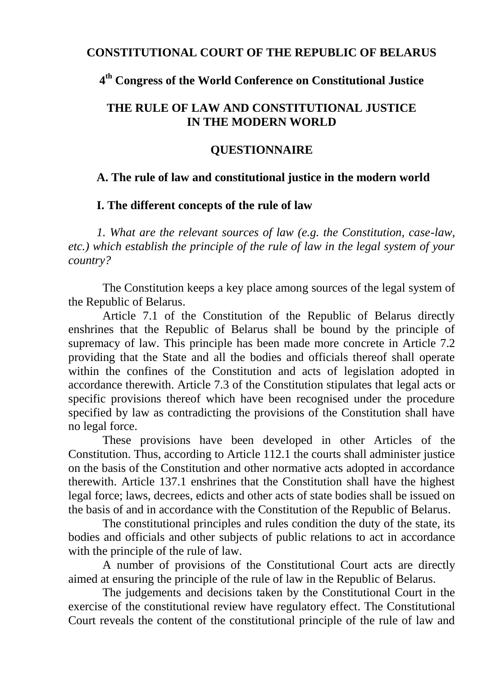#### **CONSTITUTIONAL COURT OF THE REPUBLIC OF BELARUS**

# **4 th Congress of the World Conference on Constitutional Justice**

## **THE RULE OF LAW AND CONSTITUTIONAL JUSTICE IN THE MODERN WORLD**

#### **QUESTIONNAIRE**

### **A. The rule of law and constitutional justice in the modern world**

### **I. The different concepts of the rule of law**

*1. What are the relevant sources of law (e.g. the Constitution, case-law, etc.) which establish the principle of the rule of law in the legal system of your country?* 

The Constitution keeps a key place among sources of the legal system of the Republic of Belarus.

Article 7.1 of the Constitution of the Republic of Belarus directly enshrines that the Republic of Belarus shall be bound by the principle of supremacy of law. This principle has been made more concrete in Article 7.2 providing that the State and all the bodies and officials thereof shall operate within the confines of the Constitution and acts of legislation adopted in accordance therewith. Article 7.3 of the Constitution stipulates that legal acts or specific provisions thereof which have been recognised under the procedure specified by law as contradicting the provisions of the Constitution shall have no legal force.

These provisions have been developed in other Articles of the Constitution. Thus, according to Article 112.1 the courts shall administer justice on the basis of the Constitution and other normative acts adopted in accordance therewith. Article 137.1 enshrines that the Constitution shall have the highest legal force; laws, decrees, edicts and other acts of state bodies shall be issued on the basis of and in accordance with the Constitution of the Republic of Belarus.

The constitutional principles and rules condition the duty of the state, its bodies and officials and other subjects of public relations to act in accordance with the principle of the rule of law.

A number of provisions of the Constitutional Court acts are directly aimed at ensuring the principle of the rule of law in the Republic of Belarus.

The judgements and decisions taken by the Constitutional Court in the exercise of the constitutional review have regulatory effect. The Constitutional Court reveals the content of the constitutional principle of the rule of law and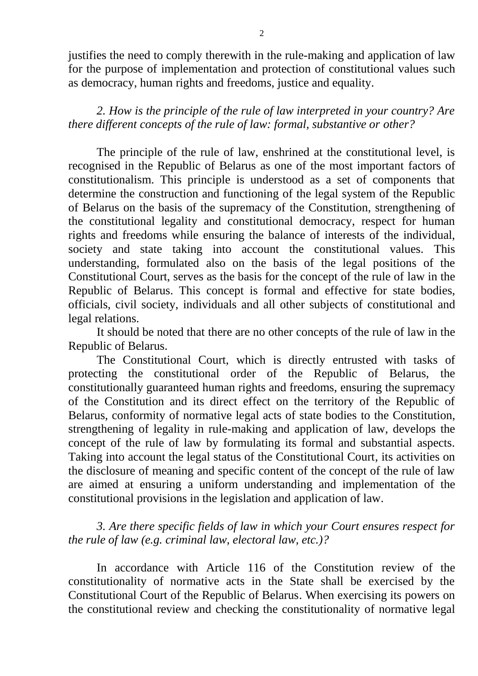justifies the need to comply therewith in the rule-making and application of law for the purpose of implementation and protection of constitutional values such as democracy, human rights and freedoms, justice and equality.

*2. How is the principle of the rule of law interpreted in your country? Are there different concepts of the rule of law: formal, substantive or other?*

The principle of the rule of law, enshrined at the constitutional level, is recognised in the Republic of Belarus as one of the most important factors of constitutionalism. This principle is understood as a set of components that determine the construction and functioning of the legal system of the Republic of Belarus on the basis of the supremacy of the Constitution, strengthening of the constitutional legality and constitutional democracy, respect for human rights and freedoms while ensuring the balance of interests of the individual, society and state taking into account the constitutional values. This understanding, formulated also on the basis of the legal positions of the Constitutional Court, serves as the basis for the concept of the rule of law in the Republic of Belarus. This concept is formal and effective for state bodies, officials, civil society, individuals and all other subjects of constitutional and legal relations.

It should be noted that there are no other concepts of the rule of law in the Republic of Belarus.

The Constitutional Court, which is directly entrusted with tasks of protecting the constitutional order of the Republic of Belarus, the constitutionally guaranteed human rights and freedoms, ensuring the supremacy of the Constitution and its direct effect on the territory of the Republic of Belarus, conformity of normative legal acts of state bodies to the Constitution, strengthening of legality in rule-making and application of law, develops the concept of the rule of law by formulating its formal and substantial aspects. Taking into account the legal status of the Constitutional Court, its activities on the disclosure of meaning and specific content of the concept of the rule of law are aimed at ensuring a uniform understanding and implementation of the constitutional provisions in the legislation and application of law.

*3. Are there specific fields of law in which your Court ensures respect for the rule of law (e.g. criminal law, electoral law, etc.)?*

In accordance with Article 116 of the Constitution review of the constitutionality of normative acts in the State shall be exercised by the Constitutional Court of the Republic of Belarus. When exercising its powers on the constitutional review and checking the constitutionality of normative legal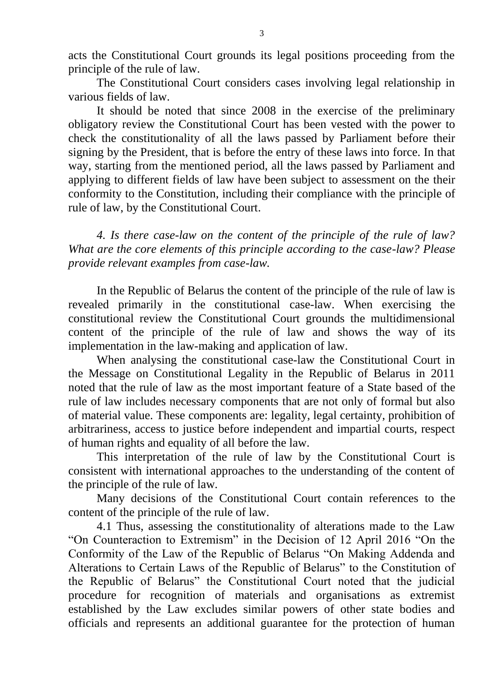acts the Constitutional Court grounds its legal positions proceeding from the principle of the rule of law.

The Constitutional Court considers cases involving legal relationship in various fields of law.

It should be noted that since 2008 in the exercise of the preliminary obligatory review the Constitutional Court has been vested with the power to check the constitutionality of all the laws passed by Parliament before their signing by the President, that is before the entry of these laws into force. In that way, starting from the mentioned period, all the laws passed by Parliament and applying to different fields of law have been subject to assessment on the their conformity to the Constitution, including their compliance with the principle of rule of law, by the Constitutional Court.

*4. Is there case-law on the content of the principle of the rule of law? What are the core elements of this principle according to the case-law? Please provide relevant examples from case-law.*

In the Republic of Belarus the content of the principle of the rule of law is revealed primarily in the constitutional case-law. When exercising the constitutional review the Constitutional Court grounds the multidimensional content of the principle of the rule of law and shows the way of its implementation in the law-making and application of law.

When analysing the constitutional case-law the Constitutional Court in the Message on Constitutional Legality in the Republic of Belarus in 2011 noted that the rule of law as the most important feature of a State based of the rule of law includes necessary components that are not only of formal but also of material value. These components are: legality, legal certainty, prohibition of arbitrariness, access to justice before independent and impartial courts, respect of human rights and equality of all before the law.

This interpretation of the rule of law by the Constitutional Court is consistent with international approaches to the understanding of the content of the principle of the rule of law.

Many decisions of the Constitutional Court contain references to the content of the principle of the rule of law.

4.1 Thus, assessing the constitutionality of alterations made to the Law "On Counteraction to Extremism" in the Decision of 12 April 2016 "On the Conformity of the Law of the Republic of Belarus "On Making Addenda and Alterations to Certain Laws of the Republic of Belarus" to the Constitution of the Republic of Belarus" the Constitutional Court noted that the judicial procedure for recognition of materials and organisations as extremist established by the Law excludes similar powers of other state bodies and officials and represents an additional guarantee for the protection of human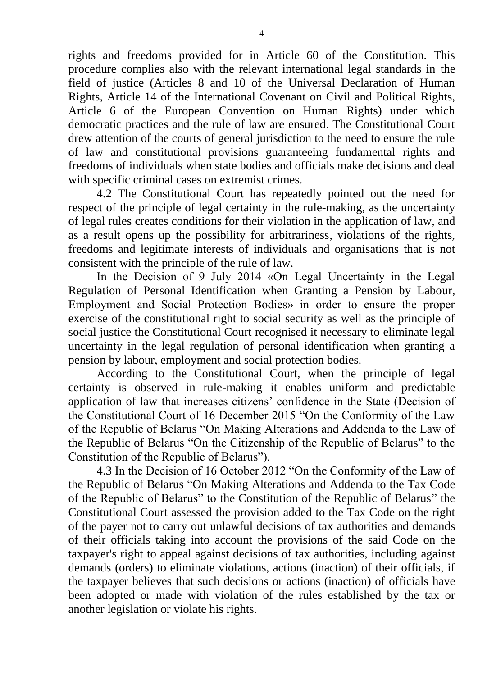rights and freedoms provided for in Article 60 of the Constitution. This procedure complies also with the relevant international legal standards in the field of justice (Articles 8 and 10 of the Universal Declaration of Human Rights, Article 14 of the International Covenant on Civil and Political Rights, Article 6 of the European Convention on Human Rights) under which democratic practices and the rule of law are ensured. The Constitutional Court drew attention of the courts of general jurisdiction to the need to ensure the rule of law and constitutional provisions guaranteeing fundamental rights and freedoms of individuals when state bodies and officials make decisions and deal with specific criminal cases on extremist crimes.

4.2 The Constitutional Court has repeatedly pointed out the need for respect of the principle of legal certainty in the rule-making, as the uncertainty of legal rules creates conditions for their violation in the application of law, and as a result opens up the possibility for arbitrariness, violations of the rights, freedoms and legitimate interests of individuals and organisations that is not consistent with the principle of the rule of law.

In the Decision of 9 July 2014 «On Legal Uncertainty in the Legal Regulation of Personal Identification when Granting a Pension by Labour, Employment and Social Protection Bodies» in order to ensure the proper exercise of the constitutional right to social security as well as the principle of social justice the Constitutional Court recognised it necessary to eliminate legal uncertainty in the legal regulation of personal identification when granting a pension by labour, employment and social protection bodies.

According to the Constitutional Court, when the principle of legal certainty is observed in rule-making it enables uniform and predictable application of law that increases citizens' confidence in the State (Decision of the Constitutional Court of 16 December 2015 "On the Conformity of the Law of the Republic of Belarus "On Making Alterations and Addenda to the Law of the Republic of Belarus "On the Citizenship of the Republic of Belarus" to the Constitution of the Republic of Belarus").

4.3 In the Decision of 16 October 2012 "On the Conformity of the Law of the Republic of Belarus "On Making Alterations and Addenda to the Tax Code of the Republic of Belarus" to the Constitution of the Republic of Belarus" the Constitutional Court assessed the provision added to the Tax Code on the right of the payer not to carry out unlawful decisions of tax authorities and demands of their officials taking into account the provisions of the said Code on the taxpayer's right to appeal against decisions of tax authorities, including against demands (orders) to eliminate violations, actions (inaction) of their officials, if the taxpayer believes that such decisions or actions (inaction) of officials have been adopted or made with violation of the rules established by the tax or another legislation or violate his rights.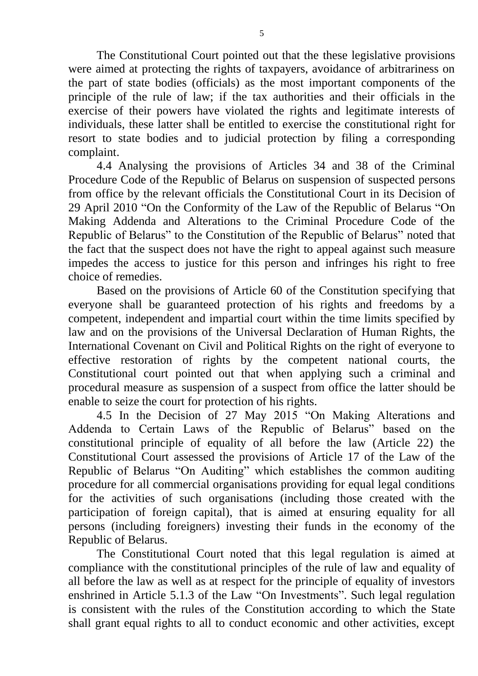The Constitutional Court pointed out that the these legislative provisions were aimed at protecting the rights of taxpayers, avoidance of arbitrariness on the part of state bodies (officials) as the most important components of the principle of the rule of law; if the tax authorities and their officials in the exercise of their powers have violated the rights and legitimate interests of individuals, these latter shall be entitled to exercise the constitutional right for resort to state bodies and to judicial protection by filing a corresponding complaint.

4.4 Analysing the provisions of Articles 34 and 38 of the Criminal Procedure Code of the Republic of Belarus on suspension of suspected persons from office by the relevant officials the Constitutional Court in its Decision of 29 April 2010 "On the Conformity of the Law of the Republic of Belarus "On Making Addenda and Alterations to the Criminal Procedure Code of the Republic of Belarus" to the Constitution of the Republic of Belarus" noted that the fact that the suspect does not have the right to appeal against such measure impedes the access to justice for this person and infringes his right to free choice of remedies.

Based on the provisions of Article 60 of the Constitution specifying that everyone shall be guaranteed protection of his rights and freedoms by a competent, independent and impartial court within the time limits specified by law and on the provisions of the Universal Declaration of Human Rights, the International Covenant on Civil and Political Rights on the right of everyone to effective restoration of rights by the competent national courts, the Constitutional court pointed out that when applying such a criminal and procedural measure as suspension of a suspect from office the latter should be enable to seize the court for protection of his rights.

4.5 In the Decision of 27 May 2015 "On Making Alterations and Addenda to Certain Laws of the Republic of Belarus" based on the constitutional principle of equality of all before the law (Article 22) the Constitutional Court assessed the provisions of Article 17 of the Law of the Republic of Belarus "On Auditing" which establishes the common auditing procedure for all commercial organisations providing for equal legal conditions for the activities of such organisations (including those created with the participation of foreign capital), that is aimed at ensuring equality for all persons (including foreigners) investing their funds in the economy of the Republic of Belarus.

The Constitutional Court noted that this legal regulation is aimed at compliance with the constitutional principles of the rule of law and equality of all before the law as well as at respect for the principle of equality of investors enshrined in Article 5.1.3 of the Law "On Investments". Such legal regulation is consistent with the rules of the Constitution according to which the State shall grant equal rights to all to conduct economic and other activities, except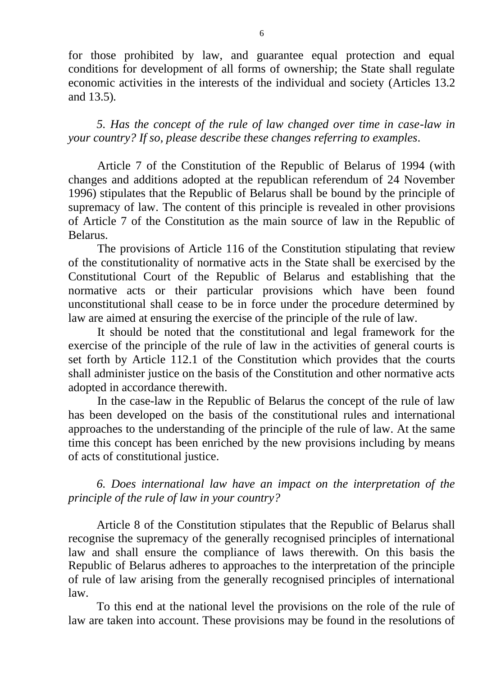for those prohibited by law, and guarantee equal protection and equal conditions for development of all forms of ownership; the State shall regulate economic activities in the interests of the individual and society (Articles 13.2 and 13.5)*.*

*5. Has the concept of the rule of law changed over time in case-law in your country? If so, please describe these changes referring to examples.*

Article 7 of the Constitution of the Republic of Belarus of 1994 (with changes and additions adopted at the republican referendum of 24 November 1996) stipulates that the Republic of Belarus shall be bound by the principle of supremacy of law. The content of this principle is revealed in other provisions of Article 7 of the Constitution as the main source of law in the Republic of Belarus.

The provisions of Article 116 of the Constitution stipulating that review of the constitutionality of normative acts in the State shall be exercised by the Constitutional Court of the Republic of Belarus and establishing that the normative acts or their particular provisions which have been found unconstitutional shall cease to be in force under the procedure determined by law are aimed at ensuring the exercise of the principle of the rule of law.

It should be noted that the constitutional and legal framework for the exercise of the principle of the rule of law in the activities of general courts is set forth by Article 112.1 of the Constitution which provides that the courts shall administer justice on the basis of the Constitution and other normative acts adopted in accordance therewith.

In the case-law in the Republic of Belarus the concept of the rule of law has been developed on the basis of the constitutional rules and international approaches to the understanding of the principle of the rule of law. At the same time this concept has been enriched by the new provisions including by means of acts of constitutional justice.

*6. Does international law have an impact on the interpretation of the principle of the rule of law in your country?*

Article 8 of the Constitution stipulates that the Republic of Belarus shall recognise the supremacy of the generally recognised principles of international law and shall ensure the compliance of laws therewith. On this basis the Republic of Belarus adheres to approaches to the interpretation of the principle of rule of law arising from the generally recognised principles of international law.

To this end at the national level the provisions on the role of the rule of law are taken into account. These provisions may be found in the resolutions of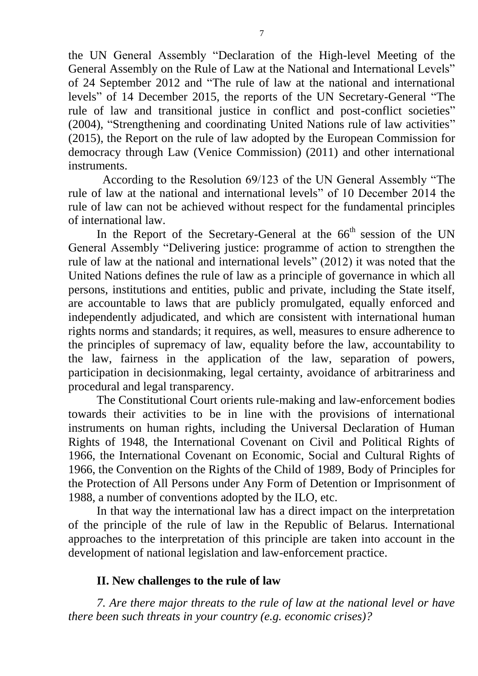the UN General Assembly "Declaration of the High-level Meeting of the General Assembly on the Rule of Law at the National and International Levels" of 24 September 2012 and "The rule of law at the national and international levels" of 14 December 2015, the reports of the UN Secretary-General "The rule of law and transitional justice in conflict and post-conflict societies" (2004), "Strengthening and coordinating United Nations rule of law activities" (2015), the Report on the rule of law adopted by the European Commission for democracy through Law (Venice Commission) (2011) and other international instruments.

According to the Resolution 69/123 of the UN General Assembly "The rule of law at the national and international levels" of 10 December 2014 the rule of law can not be achieved without respect for the fundamental principles of international law.

In the Report of the Secretary-General at the  $66<sup>th</sup>$  session of the UN General Assembly "Delivering justice: programme of action to strengthen the rule of law at the national and international levels" (2012) it was noted that the United Nations defines the rule of law as a principle of governance in which all persons, institutions and entities, public and private, including the State itself, are accountable to laws that are publicly promulgated, equally enforced and independently adjudicated, and which are consistent with international human rights norms and standards; it requires, as well, measures to ensure adherence to the principles of supremacy of law, equality before the law, accountability to the law, fairness in the application of the law, separation of powers, participation in decisionmaking, legal certainty, avoidance of arbitrariness and procedural and legal transparency.

The Constitutional Court orients rule-making and law-enforcement bodies towards their activities to be in line with the provisions of international instruments on human rights, including the Universal Declaration of Human Rights of 1948, the International Covenant on Civil and Political Rights of 1966, the International Covenant on Economic, Social and Cultural Rights of 1966, the Convention on the Rights of the Child of 1989, Body of Principles for the Protection of All Persons under Any Form of Detention or Imprisonment of 1988, a number of conventions adopted by the ILO, etc.

In that way the international law has a direct impact on the interpretation of the principle of the rule of law in the Republic of Belarus. International approaches to the interpretation of this principle are taken into account in the development of national legislation and law-enforcement practice.

## **II. New challenges to the rule of law**

*7. Are there major threats to the rule of law at the national level or have there been such threats in your country (e.g. economic crises)?*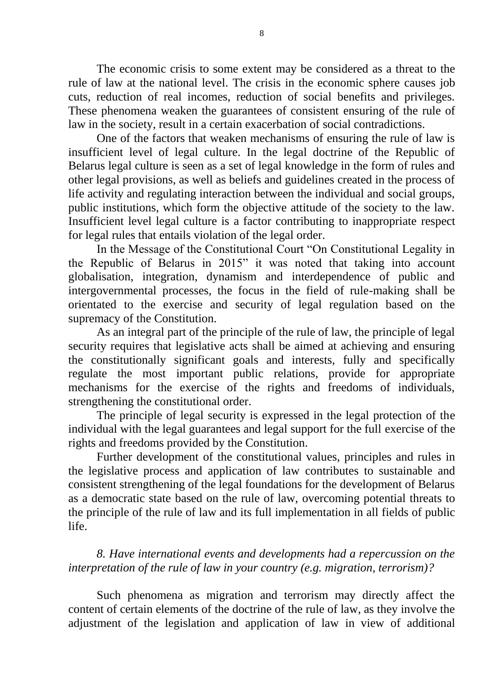The economic crisis to some extent may be considered as a threat to the rule of law at the national level. The crisis in the economic sphere causes job cuts, reduction of real incomes, reduction of social benefits and privileges. These phenomena weaken the guarantees of consistent ensuring of the rule of law in the society, result in a certain exacerbation of social contradictions.

One of the factors that weaken mechanisms of ensuring the rule of law is insufficient level of legal culture. In the legal doctrine of the Republic of Belarus legal culture is seen as a set of legal knowledge in the form of rules and other legal provisions, as well as beliefs and guidelines created in the process of life activity and regulating interaction between the individual and social groups, public institutions, which form the objective attitude of the society to the law. Insufficient level legal culture is a factor contributing to inappropriate respect for legal rules that entails violation of the legal order.

In the Message of the Constitutional Court "On Constitutional Legality in the Republic of Belarus in 2015" it was noted that taking into account globalisation, integration, dynamism and interdependence of public and intergovernmental processes, the focus in the field of rule-making shall be orientated to the exercise and security of legal regulation based on the supremacy of the Constitution.

As an integral part of the principle of the rule of law, the principle of legal security requires that legislative acts shall be aimed at achieving and ensuring the constitutionally significant goals and interests, fully and specifically regulate the most important public relations, provide for appropriate mechanisms for the exercise of the rights and freedoms of individuals, strengthening the constitutional order.

The principle of legal security is expressed in the legal protection of the individual with the legal guarantees and legal support for the full exercise of the rights and freedoms provided by the Constitution.

Further development of the constitutional values, principles and rules in the legislative process and application of law contributes to sustainable and consistent strengthening of the legal foundations for the development of Belarus as a democratic state based on the rule of law, overcoming potential threats to the principle of the rule of law and its full implementation in all fields of public life.

*8. Have international events and developments had a repercussion on the interpretation of the rule of law in your country (e.g. migration, terrorism)?*

Such phenomena as migration and terrorism may directly affect the content of certain elements of the doctrine of the rule of law, as they involve the adjustment of the legislation and application of law in view of additional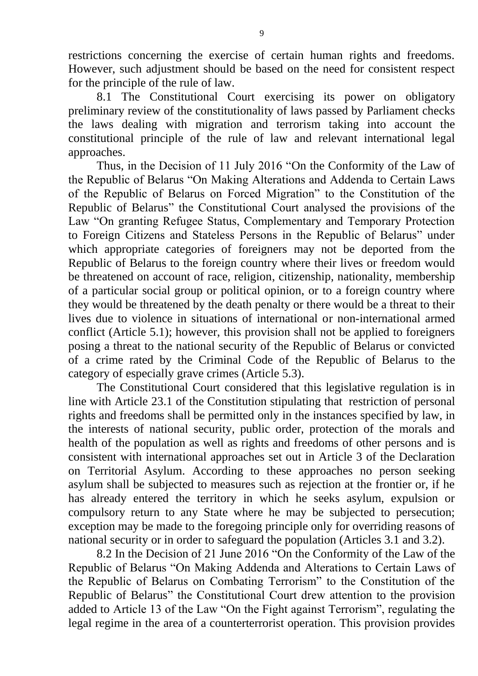restrictions concerning the exercise of certain human rights and freedoms. However, such adjustment should be based on the need for consistent respect for the principle of the rule of law.

8.1 The Constitutional Court exercising its power on obligatory preliminary review of the constitutionality of laws passed by Parliament checks the laws dealing with migration and terrorism taking into account the constitutional principle of the rule of law and relevant international legal approaches.

Thus, in the Decision of 11 July 2016 "On the Conformity of the Law of the Republic of Belarus "On Making Alterations and Addenda to Certain Laws of the Republic of Belarus on Forced Migration" to the Constitution of the Republic of Belarus" the Constitutional Court analysed the provisions of the Law "On granting Refugee Status, Complementary and Temporary Protection to Foreign Citizens and Stateless Persons in the Republic of Belarus" under which appropriate categories of foreigners may not be deported from the Republic of Belarus to the foreign country where their lives or freedom would be threatened on account of race, religion, citizenship, nationality, membership of a particular social group or political opinion, or to a foreign country where they would be threatened by the death penalty or there would be a threat to their lives due to violence in situations of international or non-international armed conflict (Article 5.1); however, this provision shall not be applied to foreigners posing a threat to the national security of the Republic of Belarus or convicted of a crime rated by the Criminal Code of the Republic of Belarus to the category of especially grave crimes (Article 5.3).

The Constitutional Court considered that this legislative regulation is in line with Article 23.1 of the Constitution stipulating that restriction of personal rights and freedoms shall be permitted only in the instances specified by law, in the interests of national security, public order, protection of the morals and health of the population as well as rights and freedoms of other persons and is consistent with international approaches set out in Article 3 of the Declaration on Territorial Asylum. According to these approaches no person seeking asylum shall be subjected to measures such as rejection at the frontier or, if he has already entered the territory in which he seeks asylum, expulsion or compulsory return to any State where he may be subjected to persecution; exception may be made to the foregoing principle only for overriding reasons of national security or in order to safeguard the population (Articles 3.1 and 3.2).

8.2 In the Decision of 21 June 2016 "On the Conformity of the Law of the Republic of Belarus "On Making Addenda and Alterations to Certain Laws of the Republic of Belarus on Combating Terrorism" to the Constitution of the Republic of Belarus" the Constitutional Court drew attention to the provision added to Article 13 of the Law "On the Fight against Terrorism", regulating the legal regime in the area of a counterterrorist operation. This provision provides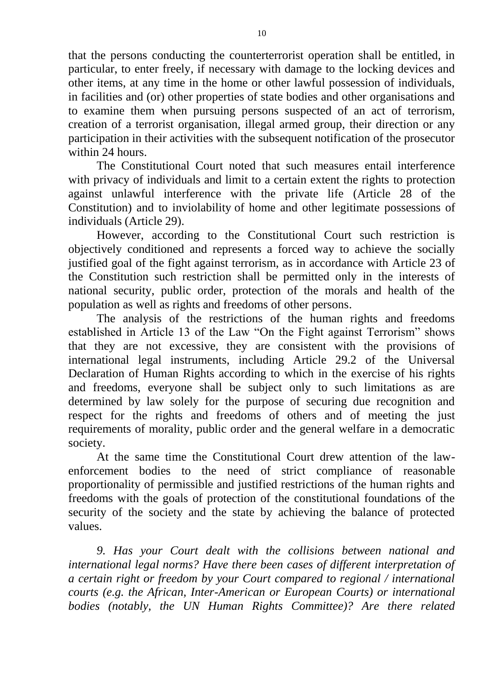that the persons conducting the counterterrorist operation shall be entitled, in particular, to enter freely, if necessary with damage to the locking devices and other items, at any time in the home or other lawful possession of individuals, in facilities and (or) other properties of state bodies and other organisations and to examine them when pursuing persons suspected of an act of terrorism, creation of a terrorist organisation, illegal armed group, their direction or any participation in their activities with the subsequent notification of the prosecutor within 24 hours.

The Constitutional Court noted that such measures entail interference with privacy of individuals and limit to a certain extent the rights to protection against unlawful interference with the private life (Article 28 of the Constitution) and to inviolability of home and other legitimate possessions of individuals (Article 29).

However, according to the Constitutional Court such restriction is objectively conditioned and represents a forced way to achieve the socially justified goal of the fight against terrorism, as in accordance with Article 23 of the Constitution such restriction shall be permitted only in the interests of national security, public order, protection of the morals and health of the population as well as rights and freedoms of other persons.

The analysis of the restrictions of the human rights and freedoms established in Article 13 of the Law "On the Fight against Terrorism" shows that they are not excessive, they are consistent with the provisions of international legal instruments, including Article 29.2 of the Universal Declaration of Human Rights according to which in the exercise of his rights and freedoms, everyone shall be subject only to such limitations as are determined by law solely for the purpose of securing due recognition and respect for the rights and freedoms of others and of meeting the just requirements of morality, public order and the general welfare in a democratic society.

At the same time the Constitutional Court drew attention of the lawenforcement bodies to the need of strict compliance of reasonable proportionality of permissible and justified restrictions of the human rights and freedoms with the goals of protection of the constitutional foundations of the security of the society and the state by achieving the balance of protected values.

*9. Has your Court dealt with the collisions between national and international legal norms? Have there been cases of different interpretation of a certain right or freedom by your Court compared to regional / international courts (e.g. the African, Inter-American or European Courts) or international bodies (notably, the UN Human Rights Committee)? Are there related*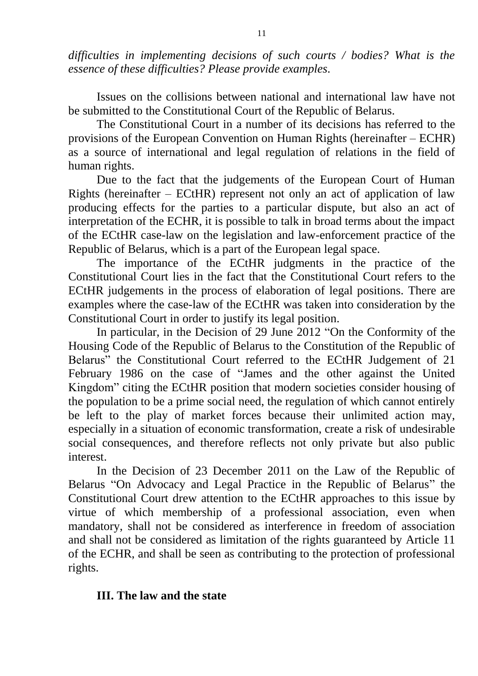*difficulties in implementing decisions of such courts / bodies? What is the essence of these difficulties? Please provide examples.*

Issues on the collisions between national and international law have not be submitted to the Constitutional Court of the Republic of Belarus.

The Constitutional Court in a number of its decisions has referred to the provisions of the European Convention on Human Rights (hereinafter – ECHR) as a source of international and legal regulation of relations in the field of human rights.

Due to the fact that the judgements of the European Court of Human Rights (hereinafter  $-$  ECtHR) represent not only an act of application of law producing effects for the parties to a particular dispute, but also an act of interpretation of the ECHR, it is possible to talk in broad terms about the impact of the ECtHR case-law on the legislation and law-enforcement practice of the Republic of Belarus, which is a part of the European legal space.

The importance of the ECtHR judgments in the practice of the Constitutional Court lies in the fact that the Constitutional Court refers to the ECtHR judgements in the process of elaboration of legal positions. There are examples where the case-law of the ECtHR was taken into consideration by the Constitutional Court in order to justify its legal position.

In particular, in the Decision of 29 June 2012 "On the Conformity of the Housing Code of the Republic of Belarus to the Constitution of the Republic of Belarus" the Constitutional Court referred to the ECtHR Judgement of 21 February 1986 on the case of "James and the other against the United Kingdom" citing the ECtHR position that modern societies consider housing of the population to be a prime social need, the regulation of which cannot entirely be left to the play of market forces because their unlimited action may, especially in a situation of economic transformation, create a risk of undesirable social consequences, and therefore reflects not only private but also public interest.

In the Decision of 23 December 2011 on the Law of the Republic of Belarus "On Advocacy and Legal Practice in the Republic of Belarus" the Constitutional Court drew attention to the ECtHR approaches to this issue by virtue of which membership of a professional association, even when mandatory, shall not be considered as interference in freedom of association and shall not be considered as limitation of the rights guaranteed by Article 11 of the ECHR, and shall be seen as contributing to the protection of professional rights.

## **III. The law and the state**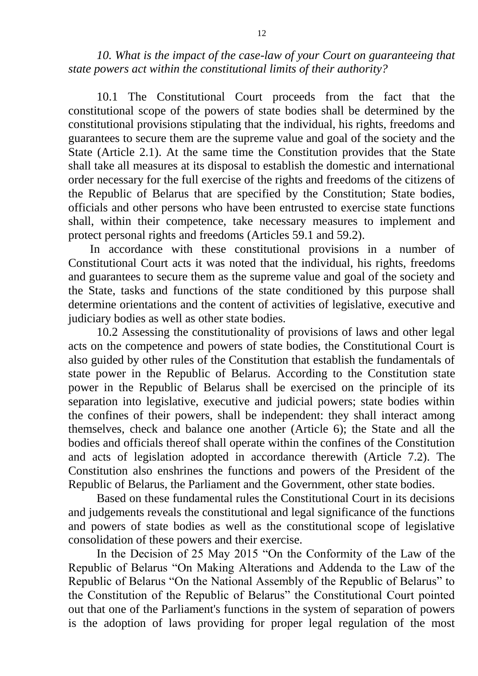10. What is the impact of the case-law of your Court on guaranteeing that *state powers act within the constitutional limits of their authority?*

10.1 The Constitutional Court proceeds from the fact that the constitutional scope of the powers of state bodies shall be determined by the constitutional provisions stipulating that the individual, his rights, freedoms and guarantees to secure them are the supreme value and goal of the society and the State (Article 2.1). At the same time the Constitution provides that the State shall take all measures at its disposal to establish the domestic and international order necessary for the full exercise of the rights and freedoms of the citizens of the Republic of Belarus that are specified by the Constitution; State bodies, officials and other persons who have been entrusted to exercise state functions shall, within their competence, take necessary measures to implement and protect personal rights and freedoms (Articles 59.1 and 59.2).

In accordance with these constitutional provisions in a number of Constitutional Court acts it was noted that the individual, his rights, freedoms and guarantees to secure them as the supreme value and goal of the society and the State, tasks and functions of the state conditioned by this purpose shall determine orientations and the content of activities of legislative, executive and judiciary bodies as well as other state bodies.

10.2 Assessing the constitutionality of provisions of laws and other legal acts on the competence and powers of state bodies, the Constitutional Court is also guided by other rules of the Constitution that establish the fundamentals of state power in the Republic of Belarus. According to the Constitution state power in the Republic of Belarus shall be exercised on the principle of its separation into legislative, executive and judicial powers; state bodies within the confines of their powers, shall be independent: they shall interact among themselves, check and balance one another (Article 6); the State and all the bodies and officials thereof shall operate within the confines of the Constitution and acts of legislation adopted in accordance therewith (Article 7.2). The Constitution also enshrines the functions and powers of the President of the Republic of Belarus, the Parliament and the Government, other state bodies.

Based on these fundamental rules the Constitutional Court in its decisions and judgements reveals the constitutional and legal significance of the functions and powers of state bodies as well as the constitutional scope of legislative consolidation of these powers and their exercise.

In the Decision of 25 May 2015 "On the Conformity of the Law of the Republic of Belarus "On Making Alterations and Addenda to the Law of the Republic of Belarus "On the National Assembly of the Republic of Belarus" to the Constitution of the Republic of Belarus" the Constitutional Court pointed out that one of the Parliament's functions in the system of separation of powers is the adoption of laws providing for proper legal regulation of the most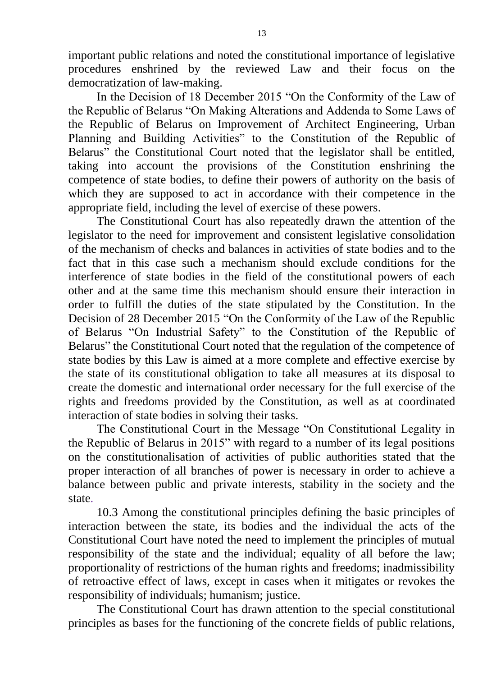important public relations and noted the constitutional importance of legislative procedures enshrined by the reviewed Law and their focus on the democratization of law-making.

In the Decision of 18 December 2015 "On the Conformity of the Law of the Republic of Belarus "On Making Alterations and Addenda to Some Laws of the Republic of Belarus on Improvement of Architect Engineering, Urban Planning and Building Activities" to the Constitution of the Republic of Belarus" the Constitutional Court noted that the legislator shall be entitled, taking into account the provisions of the Constitution enshrining the competence of state bodies, to define their powers of authority on the basis of which they are supposed to act in accordance with their competence in the appropriate field, including the level of exercise of these powers.

The Constitutional Court has also repeatedly drawn the attention of the legislator to the need for improvement and consistent legislative consolidation of the mechanism of checks and balances in activities of state bodies and to the fact that in this case such a mechanism should exclude conditions for the interference of state bodies in the field of the constitutional powers of each other and at the same time this mechanism should ensure their interaction in order to fulfill the duties of the state stipulated by the Constitution. In the Decision of 28 December 2015 "On the Conformity of the Law of the Republic of Belarus "On Industrial Safety" to the Constitution of the Republic of Belarus" the Constitutional Court noted that the regulation of the competence of state bodies by this Law is aimed at a more complete and effective exercise by the state of its constitutional obligation to take all measures at its disposal to create the domestic and international order necessary for the full exercise of the rights and freedoms provided by the Constitution, as well as at coordinated interaction of state bodies in solving their tasks.

The Constitutional Court in the Message "On Constitutional Legality in the Republic of Belarus in 2015" with regard to a number of its legal positions on the constitutionalisation of activities of public authorities stated that the proper interaction of all branches of power is necessary in order to achieve a balance between public and private interests, stability in the society and the state.

10.3 Among the constitutional principles defining the basic principles of interaction between the state, its bodies and the individual the acts of the Constitutional Court have noted the need to implement the principles of mutual responsibility of the state and the individual; equality of all before the law; proportionality of restrictions of the human rights and freedoms; inadmissibility of retroactive effect of laws, except in cases when it mitigates or revokes the responsibility of individuals; humanism; justice.

The Constitutional Court has drawn attention to the special constitutional principles as bases for the functioning of the concrete fields of public relations,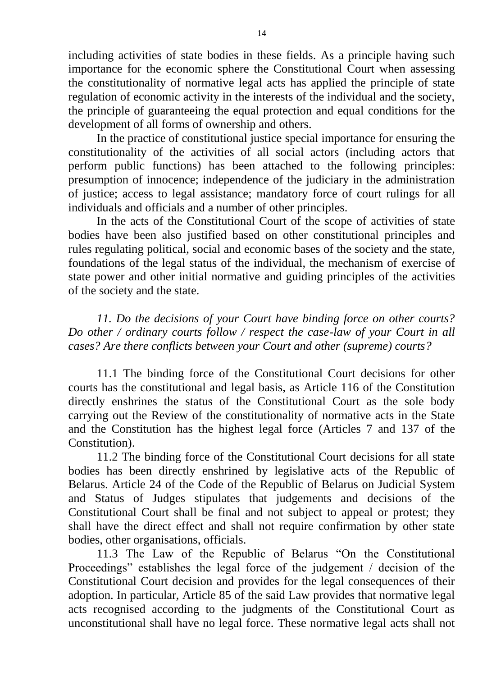including activities of state bodies in these fields. As a principle having such importance for the economic sphere the Constitutional Court when assessing the constitutionality of normative legal acts has applied the principle of state regulation of economic activity in the interests of the individual and the society, the principle of guaranteeing the equal protection and equal conditions for the development of all forms of ownership and others.

In the practice of constitutional justice special importance for ensuring the constitutionality of the activities of all social actors (including actors that perform public functions) has been attached to the following principles: presumption of innocence; independence of the judiciary in the administration of justice; access to legal assistance; mandatory force of court rulings for all individuals and officials and a number of other principles.

In the acts of the Constitutional Court of the scope of activities of state bodies have been also justified based on other constitutional principles and rules regulating political, social and economic bases of the society and the state, foundations of the legal status of the individual, the mechanism of exercise of state power and other initial normative and guiding principles of the activities of the society and the state.

*11. Do the decisions of your Court have binding force on other courts? Do other / ordinary courts follow / respect the case-law of your Court in all cases? Are there conflicts between your Court and other (supreme) courts?*

11.1 The binding force of the Constitutional Court decisions for other courts has the constitutional and legal basis, as Article 116 of the Constitution directly enshrines the status of the Constitutional Court as the sole body carrying out the Review of the constitutionality of normative acts in the State and the Constitution has the highest legal force (Articles 7 and 137 of the Constitution).

11.2 The binding force of the Constitutional Court decisions for all state bodies has been directly enshrined by legislative acts of the Republic of Belarus. Article 24 of the Code of the Republic of Belarus on Judicial System and Status of Judges stipulates that judgements and decisions of the Constitutional Court shall be final and not subject to appeal or protest; they shall have the direct effect and shall not require confirmation by other state bodies, other organisations, officials.

11.3 The Law of the Republic of Belarus "On the Constitutional Proceedings" establishes the legal force of the judgement / decision of the Constitutional Court decision and provides for the legal consequences of their adoption. In particular, Article 85 of the said Law provides that normative legal acts recognised according to the judgments of the Constitutional Court as unconstitutional shall have no legal force. These normative legal acts shall not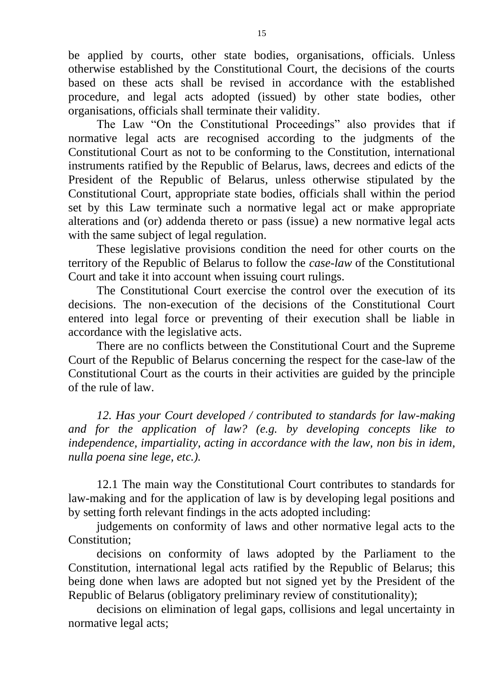be applied by courts, other state bodies, organisations, officials. Unless otherwise established by the Constitutional Court, the decisions of the courts based on these acts shall be revised in accordance with the established procedure, and legal acts adopted (issued) by other state bodies, other organisations, officials shall terminate their validity.

The Law "On the Constitutional Proceedings" also provides that if normative legal acts are recognised according to the judgments of the Constitutional Court as not to be conforming to the Constitution, international instruments ratified by the Republic of Belarus, laws, decrees and edicts of the President of the Republic of Belarus, unless otherwise stipulated by the Constitutional Court, appropriate state bodies, officials shall within the period set by this Law terminate such a normative legal act or make appropriate alterations and (or) addenda thereto or pass (issue) a new normative legal acts with the same subject of legal regulation.

These legislative provisions condition the need for other courts on the territory of the Republic of Belarus to follow the *case-law* of the Constitutional Court and take it into account when issuing court rulings.

The Constitutional Court exercise the control over the execution of its decisions. The non-execution of the decisions of the Constitutional Court entered into legal force or preventing of their execution shall be liable in accordance with the legislative acts.

There are no conflicts between the Constitutional Court and the Supreme Court of the Republic of Belarus concerning the respect for the case-law of the Constitutional Court as the courts in their activities are guided by the principle of the rule of law.

*12. Has your Court developed / contributed to standards for law-making and for the application of law? (e.g. by developing concepts like to independence, impartiality, acting in accordance with the law, non bis in idem, nulla poena sine lege, etc.).* 

12.1 The main way the Constitutional Court contributes to standards for law-making and for the application of law is by developing legal positions and by setting forth relevant findings in the acts adopted including:

judgements on conformity of laws and other normative legal acts to the Constitution;

decisions on conformity of laws adopted by the Parliament to the Constitution, international legal acts ratified by the Republic of Belarus; this being done when laws are adopted but not signed yet by the President of the Republic of Belarus (obligatory preliminary review of constitutionality);

decisions on elimination of legal gaps, collisions and legal uncertainty in normative legal acts;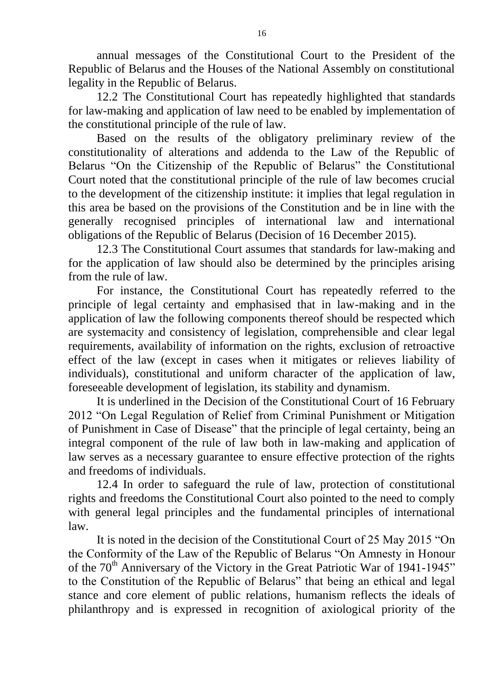annual messages of the Constitutional Court to the President of the Republic of Belarus and the Houses of the National Assembly on constitutional legality in the Republic of Belarus.

12.2 The Constitutional Court has repeatedly highlighted that standards for law-making and application of law need to be enabled by implementation of the constitutional principle of the rule of law.

Based on the results of the obligatory preliminary review of the constitutionality of alterations and addenda to the Law of the Republic of Belarus "On the Citizenship of the Republic of Belarus" the Constitutional Court noted that the constitutional principle of the rule of law becomes crucial to the development of the citizenship institute: it implies that legal regulation in this area be based on the provisions of the Constitution and be in line with the generally recognised principles of international law and international obligations of the Republic of Belarus (Decision of 16 December 2015).

12.3 The Constitutional Court assumes that standards for law-making and for the application of law should also be determined by the principles arising from the rule of law.

For instance, the Constitutional Court has repeatedly referred to the principle of legal certainty and emphasised that in law-making and in the application of law the following components thereof should be respected which are systemacity and consistency of legislation, comprehensible and clear legal requirements, availability of information on the rights, exclusion of retroactive effect of the law (except in cases when it mitigates or relieves liability of individuals), constitutional and uniform character of the application of law, foreseeable development of legislation, its stability and dynamism.

It is underlined in the Decision of the Constitutional Court of 16 February 2012 "On Legal Regulation of Relief from Criminal Punishment or Mitigation of Punishment in Case of Disease" that the principle of legal certainty, being an integral component of the rule of law both in law-making and application of law serves as a necessary guarantee to ensure effective protection of the rights and freedoms of individuals.

12.4 In order to safeguard the rule of law, protection of constitutional rights and freedoms the Constitutional Court also pointed to the need to comply with general legal principles and the fundamental principles of international law.

It is noted in the decision of the Constitutional Court of 25 May 2015 "On the Conformity of the Law of the Republic of Belarus "On Amnesty in Honour of the  $70<sup>th</sup>$  Anniversary of the Victory in the Great Patriotic War of 1941-1945" to the Constitution of the Republic of Belarus" that being an ethical and legal stance and core element of public relations, humanism reflects the ideals of philanthropy and is expressed in recognition of axiological priority of the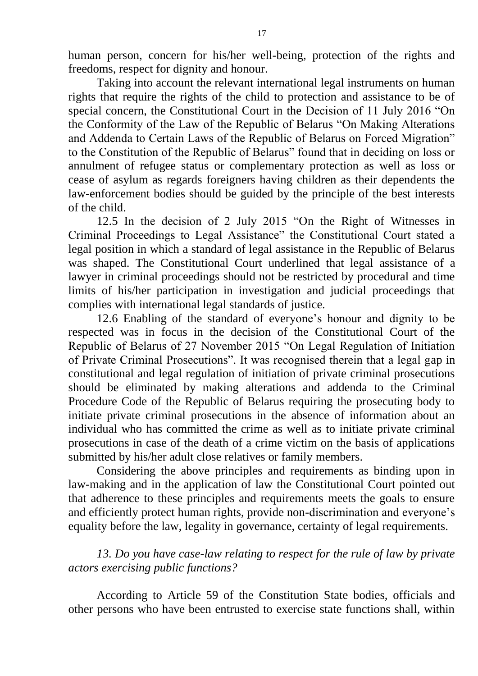human person, concern for his/her well-being, protection of the rights and freedoms, respect for dignity and honour.

Taking into account the relevant international legal instruments on human rights that require the rights of the child to protection and assistance to be of special concern, the Constitutional Court in the Decision of 11 July 2016 "On the Conformity of the Law of the Republic of Belarus "On Making Alterations and Addenda to Certain Laws of the Republic of Belarus on Forced Migration" to the Constitution of the Republic of Belarus" found that in deciding on loss or annulment of refugee status or complementary protection as well as loss or cease of asylum as regards foreigners having children as their dependents the law-enforcement bodies should be guided by the principle of the best interests of the child.

12.5 In the decision of 2 July 2015 "On the Right of Witnesses in Criminal Proceedings to Legal Assistance" the Constitutional Court stated a legal position in which a standard of legal assistance in the Republic of Belarus was shaped. The Constitutional Court underlined that legal assistance of a lawyer in criminal proceedings should not be restricted by procedural and time limits of his/her participation in investigation and judicial proceedings that complies with international legal standards of justice.

12.6 Enabling of the standard of everyone's honour and dignity to be respected was in focus in the decision of the Constitutional Court of the Republic of Belarus of 27 November 2015 "On Legal Regulation of Initiation of Private Criminal Prosecutions". It was recognised therein that a legal gap in constitutional and legal regulation of initiation of private criminal prosecutions should be eliminated by making alterations and addenda to the Criminal Procedure Code of the Republic of Belarus requiring the prosecuting body to initiate private criminal prosecutions in the absence of information about an individual who has committed the crime as well as to initiate private criminal prosecutions in case of the death of a crime victim on the basis of applications submitted by his/her adult close relatives or family members.

Considering the above principles and requirements as binding upon in law-making and in the application of law the Constitutional Court pointed out that adherence to these principles and requirements meets the goals to ensure and efficiently protect human rights, provide non-discrimination and everyone's equality before the law, legality in governance, certainty of legal requirements.

*13. Do you have case-law relating to respect for the rule of law by private actors exercising public functions?* 

According to Article 59 of the Constitution State bodies, officials and other persons who have been entrusted to exercise state functions shall, within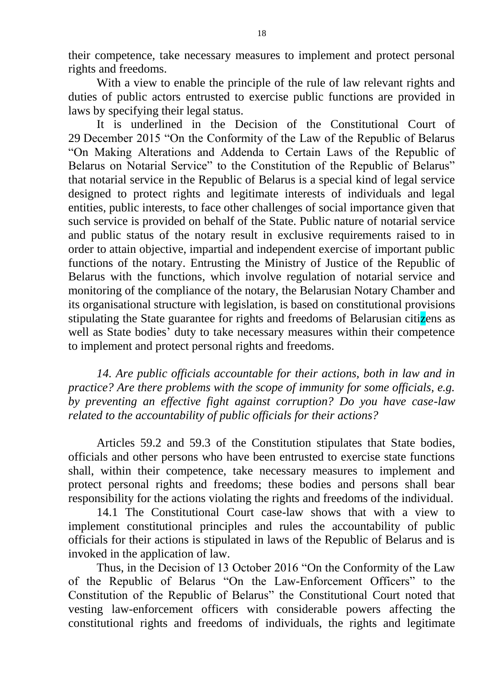their competence, take necessary measures to implement and protect personal rights and freedoms.

With a view to enable the principle of the rule of law relevant rights and duties of public actors entrusted to exercise public functions are provided in laws by specifying their legal status.

It is underlined in the Decision of the Constitutional Court of 29 December 2015 "On the Conformity of the Law of the Republic of Belarus "On Making Alterations and Addenda to Certain Laws of the Republic of Belarus on Notarial Service" to the Constitution of the Republic of Belarus" that notarial service in the Republic of Belarus is a special kind of legal service designed to protect rights and legitimate interests of individuals and legal entities, public interests, to face other challenges of social importance given that such service is provided on behalf of the State. Public nature of notarial service and public status of the notary result in exclusive requirements raised to in order to attain objective, impartial and independent exercise of important public functions of the notary. Entrusting the Ministry of Justice of the Republic of Belarus with the functions, which involve regulation of notarial service and monitoring of the compliance of the notary, the Belarusian Notary Chamber and its organisational structure with legislation, is based on constitutional provisions stipulating the State guarantee for rights and freedoms of Belarusian citizens as well as State bodies' duty to take necessary measures within their competence to implement and protect personal rights and freedoms.

*14. Are public officials accountable for their actions, both in law and in practice? Are there problems with the scope of immunity for some officials, e.g. by preventing an effective fight against corruption? Do you have case-law related to the accountability of public officials for their actions?* 

Articles 59.2 and 59.3 of the Constitution stipulates that State bodies, officials and other persons who have been entrusted to exercise state functions shall, within their competence, take necessary measures to implement and protect personal rights and freedoms; these bodies and persons shall bear responsibility for the actions violating the rights and freedoms of the individual.

14.1 The Constitutional Court case-law shows that with a view to implement constitutional principles and rules the accountability of public officials for their actions is stipulated in laws of the Republic of Belarus and is invoked in the application of law.

Thus, in the Decision of 13 October 2016 "On the Conformity of the Law of the Republic of Belarus "On the Law-Enforcement Officers" to the Constitution of the Republic of Belarus" the Constitutional Court noted that vesting law-enforcement officers with considerable powers affecting the constitutional rights and freedoms of individuals, the rights and legitimate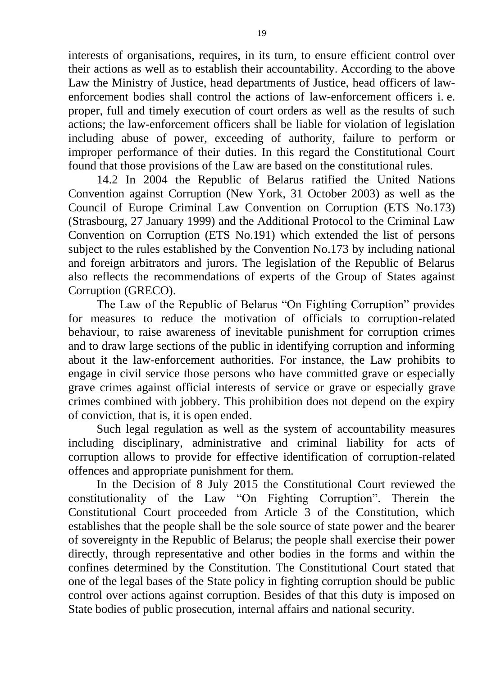interests of organisations, requires, in its turn, to ensure efficient control over their actions as well as to establish their accountability. According to the above Law the Ministry of Justice, head departments of Justice, head officers of lawenforcement bodies shall control the actions of law-enforcement officers i. e. proper, full and timely execution of court orders as well as the results of such actions; the law-enforcement officers shall be liable for violation of legislation including abuse of power, exceeding of authority, failure to perform or improper performance of their duties. In this regard the Constitutional Court found that those provisions of the Law are based on the constitutional rules.

14.2 In 2004 the Republic of Belarus ratified the United Nations Convention against Corruption (New York, 31 October 2003) as well as the Council of Europe Criminal Law Convention on Corruption (ETS No.173) (Strasbourg, 27 January 1999) and the Additional Protocol to the Criminal Law Convention on Corruption (ETS No.191) which extended the list of persons subject to the rules established by the Convention No.173 by including national and foreign arbitrators and jurors. The legislation of the Republic of Belarus also reflects the recommendations of experts of the Group of States against Corruption (GRECO).

The Law of the Republic of Belarus "On Fighting Corruption" provides for measures to reduce the motivation of officials to corruption-related behaviour, to raise awareness of inevitable punishment for corruption crimes and to draw large sections of the public in identifying corruption and informing about it the law-enforcement authorities. For instance, the Law prohibits to engage in civil service those persons who have committed grave or especially grave crimes against official interests of service or grave or especially grave crimes combined with jobbery. This prohibition does not depend on the expiry of conviction, that is, it is open ended.

Such legal regulation as well as the system of accountability measures including disciplinary, administrative and criminal liability for acts of corruption allows to provide for effective identification of corruption-related offences and appropriate punishment for them.

In the Decision of 8 July 2015 the Constitutional Court reviewed the constitutionality of the Law "On Fighting Corruption". Therein the Constitutional Court proceeded from Article 3 of the Constitution, which establishes that the people shall be the sole source of state power and the bearer of sovereignty in the Republic of Belarus; the people shall exercise their power directly, through representative and other bodies in the forms and within the confines determined by the Constitution. The Constitutional Court stated that one of the legal bases of the State policy in fighting corruption should be public control over actions against corruption. Besides of that this duty is imposed on State bodies of public prosecution, internal affairs and national security.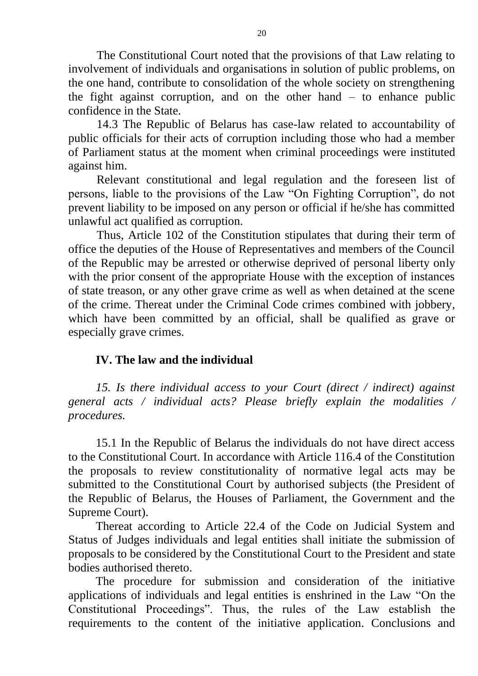The Constitutional Court noted that the provisions of that Law relating to involvement of individuals and organisations in solution of public problems, on the one hand, contribute to consolidation of the whole society on strengthening the fight against corruption, and on the other hand – to enhance public confidence in the State.

14.3 The Republic of Belarus has case-law related to accountability of public officials for their acts of corruption including those who had a member of Parliament status at the moment when criminal proceedings were instituted against him.

Relevant constitutional and legal regulation and the foreseen list of persons, liable to the provisions of the Law "On Fighting Corruption", do not prevent liability to be imposed on any person or official if he/she has committed unlawful act qualified as corruption.

Thus, Article 102 of the Constitution stipulates that during their term of office the deputies of the House of Representatives and members of the Council of the Republic may be arrested or otherwise deprived of personal liberty only with the prior consent of the appropriate House with the exception of instances of state treason, or any other grave crime as well as when detained at the scene of the crime. Thereat under the Criminal Code crimes combined with jobbery, which have been committed by an official, shall be qualified as grave or especially grave crimes.

## **IV. The law and the individual**

*15. Is there individual access to your Court (direct / indirect) against general acts / individual acts? Please briefly explain the modalities / procedures.* 

15.1 In the Republic of Belarus the individuals do not have direct access to the Constitutional Court. In accordance with Article 116.4 of the Constitution the proposals to review constitutionality of normative legal acts may be submitted to the Constitutional Court by authorised subjects (the President of the Republic of Belarus, the Houses of Parliament, the Government and the Supreme Court).

Thereat according to Article 22.4 of the Code on Judicial System and Status of Judges individuals and legal entities shall initiate the submission of proposals to be considered by the Constitutional Court to the President and state bodies authorised thereto.

The procedure for submission and consideration of the initiative applications of individuals and legal entities is enshrined in the Law "On the Constitutional Proceedings". Thus, the rules of the Law establish the requirements to the content of the initiative application. Conclusions and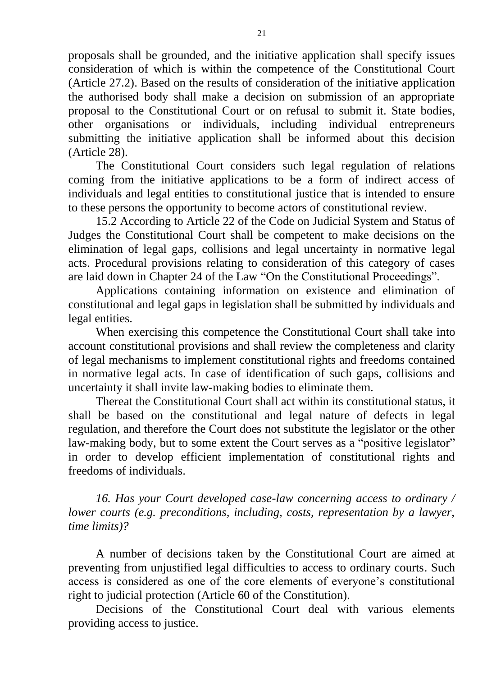proposals shall be grounded, and the initiative application shall specify issues consideration of which is within the competence of the Constitutional Court (Article 27.2). Based on the results of consideration of the initiative application the authorised body shall make a decision on submission of an appropriate proposal to the Constitutional Court or on refusal to submit it. State bodies, other organisations or individuals, including individual entrepreneurs submitting the initiative application shall be informed about this decision (Article 28).

The Constitutional Court considers such legal regulation of relations coming from the initiative applications to be a form of indirect access of individuals and legal entities to constitutional justice that is intended to ensure to these persons the opportunity to become actors of constitutional review.

15.2 According to Article 22 of the Code on Judicial System and Status of Judges the Constitutional Court shall be competent to make decisions on the elimination of legal gaps, collisions and legal uncertainty in normative legal acts. Procedural provisions relating to consideration of this category of cases are laid down in Chapter 24 of the Law "On the Constitutional Proceedings".

Applications containing information on existence and elimination of constitutional and legal gaps in legislation shall be submitted by individuals and legal entities.

When exercising this competence the Constitutional Court shall take into account constitutional provisions and shall review the completeness and clarity of legal mechanisms to implement constitutional rights and freedoms contained in normative legal acts. In case of identification of such gaps, collisions and uncertainty it shall invite law-making bodies to eliminate them.

Thereat the Constitutional Court shall act within its constitutional status, it shall be based on the constitutional and legal nature of defects in legal regulation, and therefore the Court does not substitute the legislator or the other law-making body, but to some extent the Court serves as a "positive legislator" in order to develop efficient implementation of constitutional rights and freedoms of individuals.

*16. Has your Court developed case-law concerning access to ordinary / lower courts (e.g. preconditions, including, costs, representation by a lawyer, time limits)?* 

A number of decisions taken by the Constitutional Court are aimed at preventing from unjustified legal difficulties to access to ordinary courts. Such access is considered as one of the core elements of everyone's constitutional right to judicial protection (Article 60 of the Constitution).

Decisions of the Constitutional Court deal with various elements providing access to justice.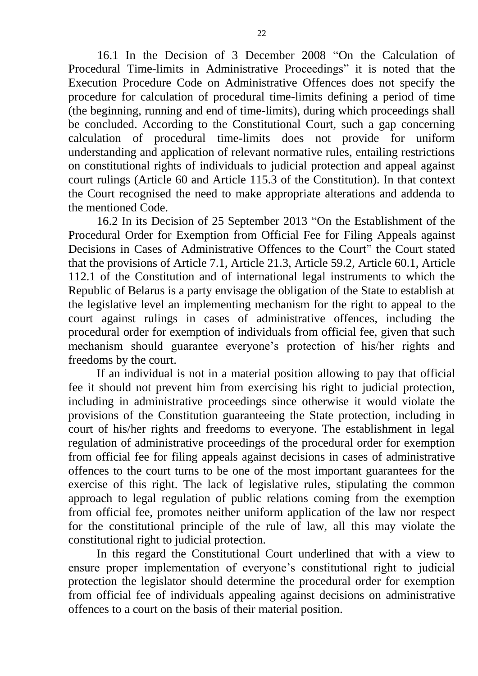16.1 In the Decision of 3 December 2008 "On the Calculation of Procedural Time-limits in Administrative Proceedings" it is noted that the Execution Procedure Code on Administrative Offences does not specify the procedure for calculation of procedural time-limits defining a period of time (the beginning, running and end of time-limits), during which proceedings shall be concluded. According to the Constitutional Court, such a gap concerning calculation of procedural time-limits does not provide for uniform understanding and application of relevant normative rules, entailing restrictions on constitutional rights of individuals to judicial protection and appeal against court rulings (Article 60 and Article 115.3 of the Constitution). In that context the Court recognised the need to make appropriate alterations and addenda to the mentioned Code.

16.2 In its Decision of 25 September 2013 "On the Establishment of the Procedural Order for Exemption from Official Fee for Filing Appeals against Decisions in Cases of Administrative Offences to the Court" the Court stated that the provisions of Article 7.1, Article 21.3, Article 59.2, Article 60.1, Article 112.1 of the Constitution and of international legal instruments to which the Republic of Belarus is a party envisage the obligation of the State to establish at the legislative level an implementing mechanism for the right to appeal to the court against rulings in cases of administrative offences, including the procedural order for exemption of individuals from official fee, given that such mechanism should guarantee everyone's protection of his/her rights and freedoms by the court.

If an individual is not in a material position allowing to pay that official fee it should not prevent him from exercising his right to judicial protection, including in administrative proceedings since otherwise it would violate the provisions of the Constitution guaranteeing the State protection, including in court of his/her rights and freedoms to everyone. The establishment in legal regulation of administrative proceedings of the procedural order for exemption from official fee for filing appeals against decisions in cases of administrative offences to the court turns to be one of the most important guarantees for the exercise of this right. The lack of legislative rules, stipulating the common approach to legal regulation of public relations coming from the exemption from official fee, promotes neither uniform application of the law nor respect for the constitutional principle of the rule of law, all this may violate the constitutional right to judicial protection.

In this regard the Constitutional Court underlined that with a view to ensure proper implementation of everyone's constitutional right to judicial protection the legislator should determine the procedural order for exemption from official fee of individuals appealing against decisions on administrative offences to a court on the basis of their material position.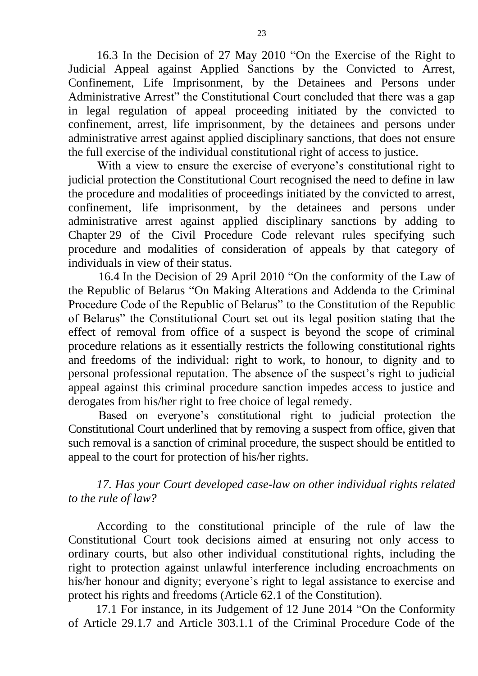16.3 In the Decision of 27 May 2010 "On the Exercise of the Right to Judicial Appeal against Applied Sanctions by the Convicted to Arrest, Confinement, Life Imprisonment, by the Detainees and Persons under Administrative Arrest" the Constitutional Court concluded that there was a gap in legal regulation of appeal proceeding initiated by the convicted to confinement, arrest, life imprisonment, by the detainees and persons under administrative arrest against applied disciplinary sanctions, that does not ensure the full exercise of the individual constitutional right of access to justice.

With a view to ensure the exercise of everyone's constitutional right to judicial protection the Constitutional Court recognised the need to define in law the procedure and modalities of proceedings initiated by the convicted to arrest, confinement, life imprisonment, by the detainees and persons under administrative arrest against applied disciplinary sanctions by adding to Chapter 29 of the Civil Procedure Code relevant rules specifying such procedure and modalities of consideration of appeals by that category of individuals in view of their status.

16.4 In the Decision of 29 April 2010 "On the conformity of the Law of the Republic of Belarus "On Making Alterations and Addenda to the Criminal Procedure Code of the Republic of Belarus" to the Constitution of the Republic of Belarus" the Constitutional Court set out its legal position stating that the effect of removal from office of a suspect is beyond the scope of criminal procedure relations as it essentially restricts the following constitutional rights and freedoms of the individual: right to work, to honour, to dignity and to personal professional reputation. The absence of the suspect's right to judicial appeal against this criminal procedure sanction impedes access to justice and derogates from his/her right to free choice of legal remedy.

Based on everyone's constitutional right to judicial protection the Constitutional Court underlined that by removing a suspect from office, given that such removal is a sanction of criminal procedure, the suspect should be entitled to appeal to the court for protection of his/her rights.

*17. Has your Court developed case-law on other individual rights related to the rule of law?* 

According to the constitutional principle of the rule of law the Constitutional Court took decisions aimed at ensuring not only access to ordinary courts, but also other individual constitutional rights, including the right to protection against unlawful interference including encroachments on his/her honour and dignity; everyone's right to legal assistance to exercise and protect his rights and freedoms (Article 62.1 of the Constitution).

17.1 For instance, in its Judgement of 12 June 2014 "On the Conformity of Article 29.1.7 and Article 303.1.1 of the Criminal Procedure Code of the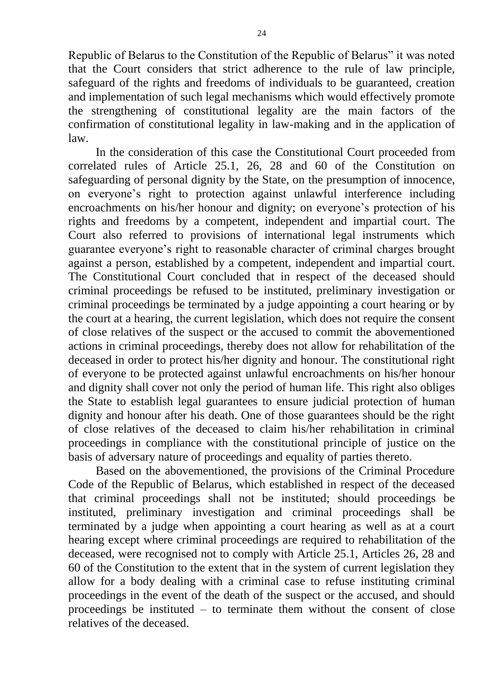Republic of Belarus to the Constitution of the Republic of Belarus" it was noted that the Court considers that strict adherence to the rule of law principle, safeguard of the rights and freedoms of individuals to be guaranteed, creation and implementation of such legal mechanisms which would effectively promote the strengthening of constitutional legality are the main factors of the confirmation of constitutional legality in law-making and in the application of law.

In the consideration of this case the Constitutional Court proceeded from correlated rules of Article 25.1, 26, 28 and 60 of the Constitution on safeguarding of personal dignity by the State, on the presumption of innocence, on everyone's right to protection against unlawful interference including encroachments on his/her honour and dignity; on everyone's protection of his rights and freedoms by a competent, independent and impartial court. The Court also referred to provisions of international legal instruments which guarantee everyone's right to reasonable character of criminal charges brought against a person, established by a competent, independent and impartial court. The Constitutional Court concluded that in respect of the deceased should criminal proceedings be refused to be instituted, preliminary investigation or criminal proceedings be terminated by a judge appointing a court hearing or by the court at a hearing, the current legislation, which does not require the consent of close relatives of the suspect or the accused to commit the abovementioned actions in criminal proceedings, thereby does not allow for rehabilitation of the deceased in order to protect his/her dignity and honour. The constitutional right of everyone to be protected against unlawful encroachments on his/her honour and dignity shall cover not only the period of human life. This right also obliges the State to establish legal guarantees to ensure judicial protection of human dignity and honour after his death. One of those guarantees should be the right of close relatives of the deceased to claim his/her rehabilitation in criminal proceedings in compliance with the constitutional principle of justice on the basis of adversary nature of proceedings and equality of parties thereto.

Based on the abovementioned, the provisions of the Criminal Procedure Code of the Republic of Belarus, which established in respect of the deceased that criminal proceedings shall not be instituted; should proceedings be instituted, preliminary investigation and criminal proceedings shall be terminated by a judge when appointing a court hearing as well as at a court hearing except where criminal proceedings are required to rehabilitation of the deceased, were recognised not to comply with Article 25.1, Articles 26, 28 and 60 of the Constitution to the extent that in the system of current legislation they allow for a body dealing with a criminal case to refuse instituting criminal proceedings in the event of the death of the suspect or the accused, and should proceedings be instituted  $-$  to terminate them without the consent of close relatives of the deceased.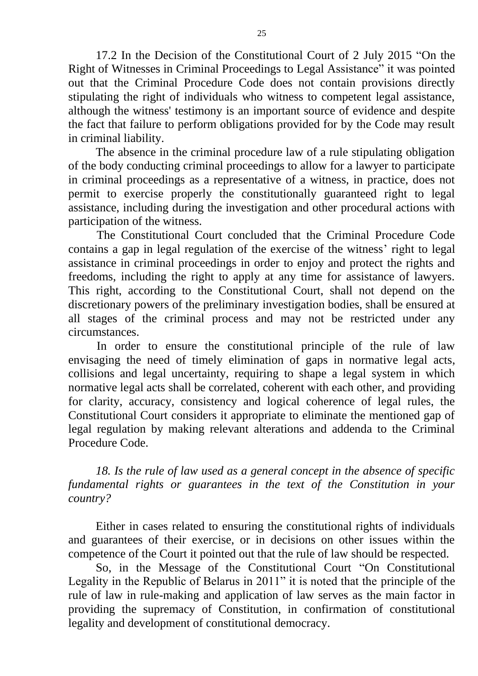17.2 In the Decision of the Constitutional Court of 2 July 2015 "On the Right of Witnesses in Criminal Proceedings to Legal Assistance" it was pointed out that the Criminal Procedure Code does not contain provisions directly stipulating the right of individuals who witness to competent legal assistance, although the witness' testimony is an important source of evidence and despite the fact that failure to perform obligations provided for by the Code may result in criminal liability.

The absence in the criminal procedure law of a rule stipulating obligation of the body conducting criminal proceedings to allow for a lawyer to participate in criminal proceedings as a representative of a witness, in practice, does not permit to exercise properly the constitutionally guaranteed right to legal assistance, including during the investigation and other procedural actions with participation of the witness.

The Constitutional Court concluded that the Criminal Procedure Code contains a gap in legal regulation of the exercise of the witness' right to legal assistance in criminal proceedings in order to enjoy and protect the rights and freedoms, including the right to apply at any time for assistance of lawyers. This right, according to the Constitutional Court, shall not depend on the discretionary powers of the preliminary investigation bodies, shall be ensured at all stages of the criminal process and may not be restricted under any circumstances.

In order to ensure the constitutional principle of the rule of law envisaging the need of timely elimination of gaps in normative legal acts, collisions and legal uncertainty, requiring to shape a legal system in which normative legal acts shall be correlated, coherent with each other, and providing for clarity, accuracy, consistency and logical coherence of legal rules, the Constitutional Court considers it appropriate to eliminate the mentioned gap of legal regulation by making relevant alterations and addenda to the Criminal Procedure Code.

*18. Is the rule of law used as a general concept in the absence of specific fundamental rights or guarantees in the text of the Constitution in your country?* 

Either in cases related to ensuring the constitutional rights of individuals and guarantees of their exercise, or in decisions on other issues within the competence of the Court it pointed out that the rule of law should be respected.

So, in the Message of the Constitutional Court "On Constitutional Legality in the Republic of Belarus in 2011" it is noted that the principle of the rule of law in rule-making and application of law serves as the main factor in providing the supremacy of Constitution, in confirmation of constitutional legality and development of constitutional democracy.